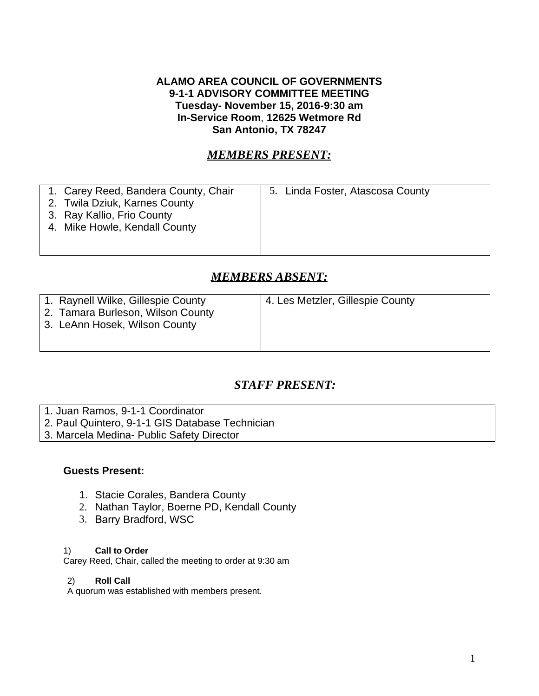## **ALAMO AREA COUNCIL OF GOVERNMENTS 9-1-1 ADVISORY COMMITTEE MEETING Tuesday- November 15, 2016-9:30 am In-Service Room**, **12625 Wetmore Rd San Antonio, TX 78247**

# *MEMBERS PRESENT:*

| 1. Carey Reed, Bandera County, Chair | 5. Linda Foster, Atascosa County |
|--------------------------------------|----------------------------------|
| 2. Twila Dziuk, Karnes County        |                                  |
| 3. Ray Kallio, Frio County           |                                  |
| 4. Mike Howle, Kendall County        |                                  |
|                                      |                                  |
|                                      |                                  |

# *MEMBERS ABSENT:*

| 1. Raynell Wilke, Gillespie County<br>2. Tamara Burleson, Wilson County<br>3. LeAnn Hosek, Wilson County | 4. Les Metzler, Gillespie County |
|----------------------------------------------------------------------------------------------------------|----------------------------------|
|----------------------------------------------------------------------------------------------------------|----------------------------------|

# *STAFF PRESENT:*

- 1. Juan Ramos, 9-1-1 Coordinator
- 2. Paul Quintero, 9-1-1 GIS Database Technician
- 3. Marcela Medina- Public Safety Director

## **Guests Present:**

- 1. Stacie Corales, Bandera County
- 2. Nathan Taylor, Boerne PD, Kendall County
- 3. Barry Bradford, WSC

## 1) **Call to Order**

Carey Reed, Chair, called the meeting to order at 9:30 am

## 2) **Roll Call**

A quorum was established with members present.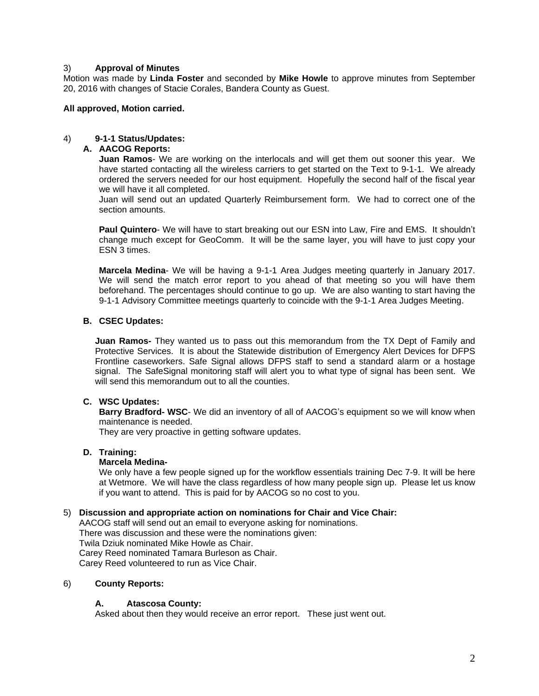### 3) **Approval of Minutes**

Motion was made by **Linda Foster** and seconded by **Mike Howle** to approve minutes from September 20, 2016 with changes of Stacie Corales, Bandera County as Guest.

#### **All approved, Motion carried.**

#### 4) **9-1-1 Status/Updates:**

## **A. AACOG Reports:**

**Juan Ramos**- We are working on the interlocals and will get them out sooner this year. We have started contacting all the wireless carriers to get started on the Text to 9-1-1. We already ordered the servers needed for our host equipment. Hopefully the second half of the fiscal year we will have it all completed.

Juan will send out an updated Quarterly Reimbursement form. We had to correct one of the section amounts.

**Paul Quintero**- We will have to start breaking out our ESN into Law, Fire and EMS. It shouldn't change much except for GeoComm. It will be the same layer, you will have to just copy your ESN 3 times.

**Marcela Medina**- We will be having a 9-1-1 Area Judges meeting quarterly in January 2017. We will send the match error report to you ahead of that meeting so you will have them beforehand. The percentages should continue to go up. We are also wanting to start having the 9-1-1 Advisory Committee meetings quarterly to coincide with the 9-1-1 Area Judges Meeting.

#### **B. CSEC Updates:**

**Juan Ramos-** They wanted us to pass out this memorandum from the TX Dept of Family and Protective Services. It is about the Statewide distribution of Emergency Alert Devices for DFPS Frontline caseworkers. Safe Signal allows DFPS staff to send a standard alarm or a hostage signal. The SafeSignal monitoring staff will alert you to what type of signal has been sent. We will send this memorandum out to all the counties.

## **C. WSC Updates:**

**Barry Bradford- WSC**- We did an inventory of all of AACOG's equipment so we will know when maintenance is needed.

They are very proactive in getting software updates.

#### **D. Training:**

#### **Marcela Medina-**

We only have a few people signed up for the workflow essentials training Dec 7-9. It will be here at Wetmore. We will have the class regardless of how many people sign up. Please let us know if you want to attend. This is paid for by AACOG so no cost to you.

#### 5) **Discussion and appropriate action on nominations for Chair and Vice Chair:**

AACOG staff will send out an email to everyone asking for nominations. There was discussion and these were the nominations given: Twila Dziuk nominated Mike Howle as Chair. Carey Reed nominated Tamara Burleson as Chair. Carey Reed volunteered to run as Vice Chair.

#### 6) **County Reports:**

#### **A. Atascosa County:**

Asked about then they would receive an error report. These just went out.